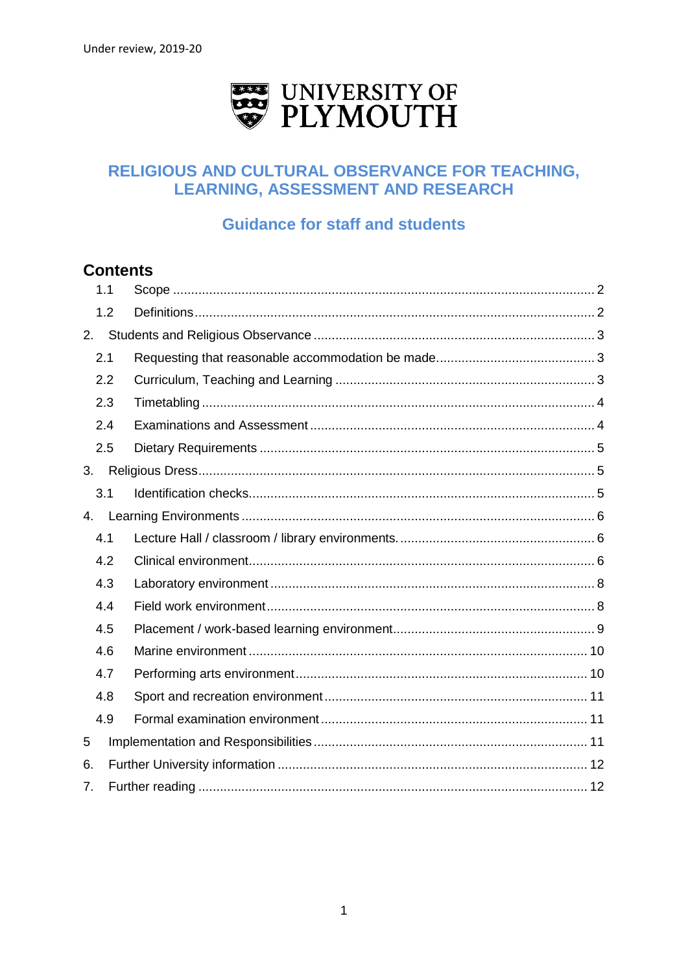

# RELIGIOUS AND CULTURAL OBSERVANCE FOR TEACHING, **LEARNING, ASSESSMENT AND RESEARCH**

# **Guidance for staff and students**

# **Contents**

|    | 1.1 |  |  |
|----|-----|--|--|
|    | 1.2 |  |  |
| 2. |     |  |  |
|    | 2.1 |  |  |
|    | 2.2 |  |  |
|    | 2.3 |  |  |
|    | 2.4 |  |  |
|    | 2.5 |  |  |
| 3. |     |  |  |
|    | 3.1 |  |  |
| 4. |     |  |  |
|    | 4.1 |  |  |
|    | 4.2 |  |  |
|    | 4.3 |  |  |
|    | 4.4 |  |  |
|    | 4.5 |  |  |
|    | 4.6 |  |  |
|    | 4.7 |  |  |
|    | 4.8 |  |  |
|    | 4.9 |  |  |
| 5  |     |  |  |
| 6. |     |  |  |
| 7. |     |  |  |
|    |     |  |  |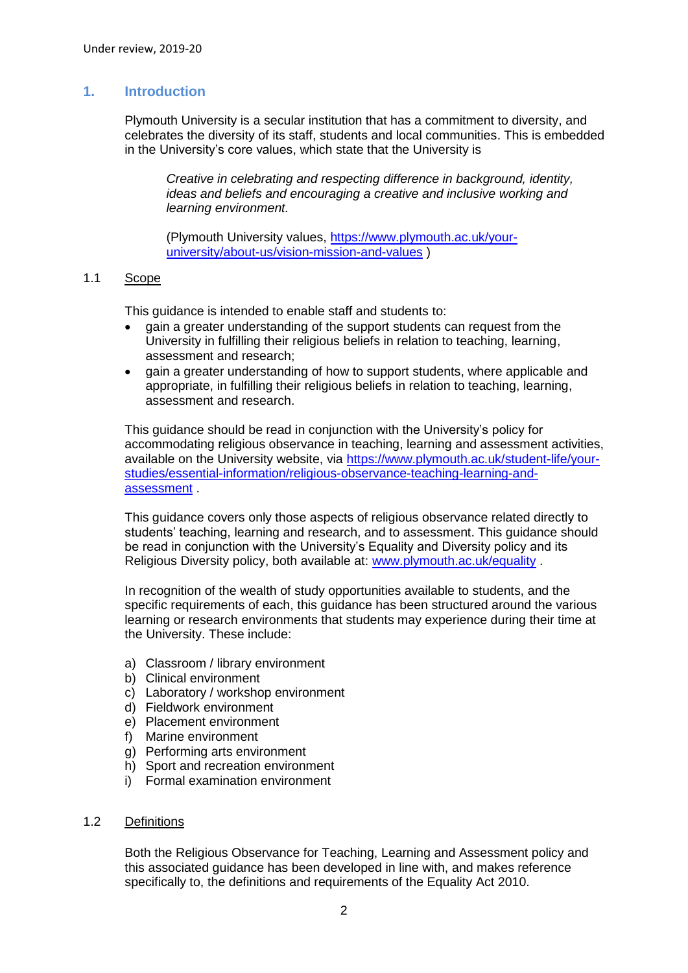# **1. Introduction**

Plymouth University is a secular institution that has a commitment to diversity, and celebrates the diversity of its staff, students and local communities. This is embedded in the University's core values, which state that the University is

*Creative in celebrating and respecting difference in background, identity, ideas and beliefs and encouraging a creative and inclusive working and learning environment.*

(Plymouth University values, [https://www.plymouth.ac.uk/your](https://www.plymouth.ac.uk/your-university/about-us/vision-mission-and-values)[university/about-us/vision-mission-and-values](https://www.plymouth.ac.uk/your-university/about-us/vision-mission-and-values) )

### <span id="page-1-0"></span>1.1 Scope

This guidance is intended to enable staff and students to:

- gain a greater understanding of the support students can request from the University in fulfilling their religious beliefs in relation to teaching, learning, assessment and research;
- gain a greater understanding of how to support students, where applicable and appropriate, in fulfilling their religious beliefs in relation to teaching, learning, assessment and research.

This guidance should be read in conjunction with the University's policy for accommodating religious observance in teaching, learning and assessment activities, available on the University website, via [https://www.plymouth.ac.uk/student-life/your](https://www.plymouth.ac.uk/student-life/your-studies/essential-information/religious-observance-teaching-learning-and-assessment)[studies/essential-information/religious-observance-teaching-learning-and](https://www.plymouth.ac.uk/student-life/your-studies/essential-information/religious-observance-teaching-learning-and-assessment)[assessment](https://www.plymouth.ac.uk/student-life/your-studies/essential-information/religious-observance-teaching-learning-and-assessment) .

This guidance covers only those aspects of religious observance related directly to students' teaching, learning and research, and to assessment. This guidance should be read in conjunction with the University's Equality and Diversity policy and its Religious Diversity policy, both available at: [www.plymouth.ac.uk/equality](http://www.plymouth.ac.uk/equality) .

In recognition of the wealth of study opportunities available to students, and the specific requirements of each, this guidance has been structured around the various learning or research environments that students may experience during their time at the University. These include:

- a) Classroom / library environment
- b) Clinical environment
- c) Laboratory / workshop environment
- d) Fieldwork environment
- e) Placement environment
- f) Marine environment
- g) Performing arts environment
- h) Sport and recreation environment
- i) Formal examination environment

#### <span id="page-1-1"></span>1.2 Definitions

Both the Religious Observance for Teaching, Learning and Assessment policy and this associated guidance has been developed in line with, and makes reference specifically to, the definitions and requirements of the Equality Act 2010.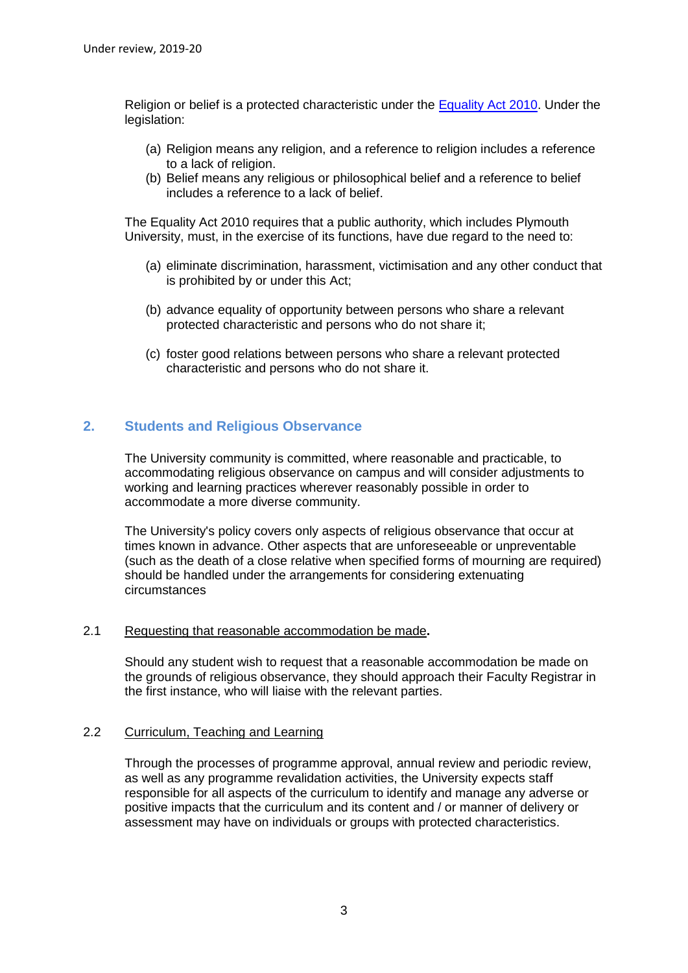Religion or belief is a protected characteristic under the [Equality Act 2010.](http://www.legislation.gov.uk/ukpga/2010/15/contents) Under the legislation:

- (a) Religion means any religion, and a reference to religion includes a reference to a lack of religion.
- (b) Belief means any religious or philosophical belief and a reference to belief includes a reference to a lack of belief.

The Equality Act 2010 requires that a public authority, which includes Plymouth University, must, in the exercise of its functions, have due regard to the need to:

- (a) eliminate discrimination, harassment, victimisation and any other conduct that is prohibited by or under this Act;
- (b) advance equality of opportunity between persons who share a relevant protected characteristic and persons who do not share it;
- (c) foster good relations between persons who share a relevant protected characteristic and persons who do not share it.

# <span id="page-2-0"></span>**2. Students and Religious Observance**

The University community is committed, where reasonable and practicable, to accommodating religious observance on campus and will consider adjustments to working and learning practices wherever reasonably possible in order to accommodate a more diverse community.

The University's policy covers only aspects of religious observance that occur at times known in advance. Other aspects that are unforeseeable or unpreventable (such as the death of a close relative when specified forms of mourning are required) should be handled under the arrangements for considering extenuating circumstances

#### <span id="page-2-1"></span>2.1 Requesting that reasonable accommodation be made**.**

Should any student wish to request that a reasonable accommodation be made on the grounds of religious observance, they should approach their Faculty Registrar in the first instance, who will liaise with the relevant parties.

#### <span id="page-2-2"></span>2.2 Curriculum, Teaching and Learning

Through the processes of programme approval, annual review and periodic review, as well as any programme revalidation activities, the University expects staff responsible for all aspects of the curriculum to identify and manage any adverse or positive impacts that the curriculum and its content and / or manner of delivery or assessment may have on individuals or groups with protected characteristics.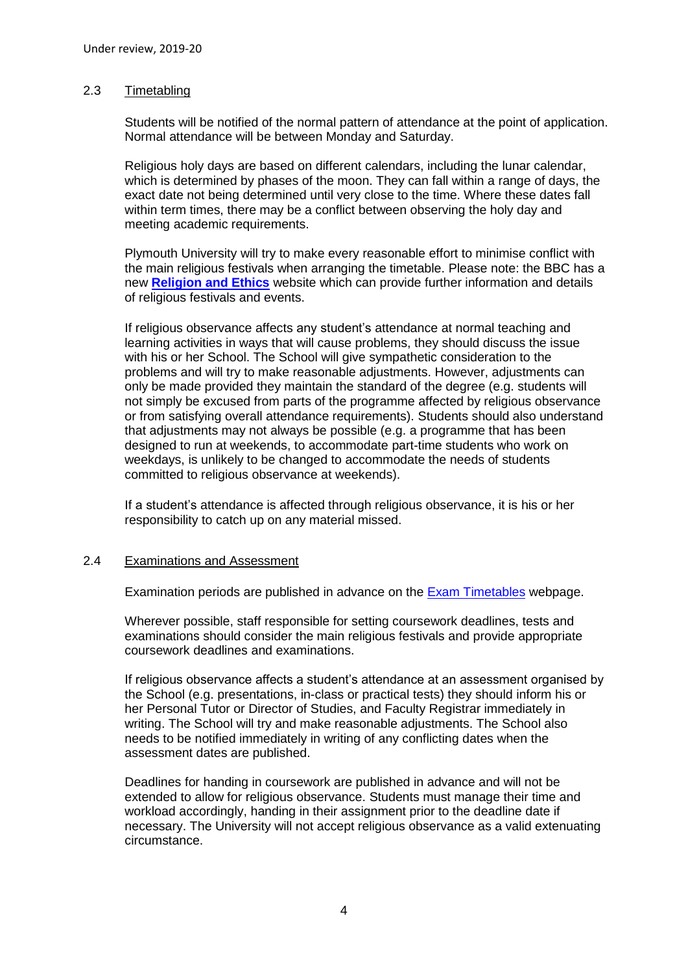### <span id="page-3-0"></span>2.3 Timetabling

Students will be notified of the normal pattern of attendance at the point of application. Normal attendance will be between Monday and Saturday.

Religious holy days are based on different calendars, including the lunar calendar, which is determined by phases of the moon. They can fall within a range of days, the exact date not being determined until very close to the time. Where these dates fall within term times, there may be a conflict between observing the holy day and meeting academic requirements.

Plymouth University will try to make every reasonable effort to minimise conflict with the main religious festivals when arranging the timetable. Please note: the BBC has a new **[Religion and Ethics](http://www.bbc.co.uk/religion?1)** website which can provide further information and details of religious festivals and events.

If religious observance affects any student's attendance at normal teaching and learning activities in ways that will cause problems, they should discuss the issue with his or her School. The School will give sympathetic consideration to the problems and will try to make reasonable adjustments. However, adjustments can only be made provided they maintain the standard of the degree (e.g. students will not simply be excused from parts of the programme affected by religious observance or from satisfying overall attendance requirements). Students should also understand that adjustments may not always be possible (e.g. a programme that has been designed to run at weekends, to accommodate part-time students who work on weekdays, is unlikely to be changed to accommodate the needs of students committed to religious observance at weekends).

If a student's attendance is affected through religious observance, it is his or her responsibility to catch up on any material missed.

#### <span id="page-3-1"></span>2.4 Examinations and Assessment

Examination periods are published in advance on the [Exam Timetables](https://www.plymouth.ac.uk/student-life/your-studies/essential-information/exams/exam-timetables-and-venues/exam-timetables) webpage.

Wherever possible, staff responsible for setting coursework deadlines, tests and examinations should consider the main religious festivals and provide appropriate coursework deadlines and examinations.

If religious observance affects a student's attendance at an assessment organised by the School (e.g. presentations, in-class or practical tests) they should inform his or her Personal Tutor or Director of Studies, and Faculty Registrar immediately in writing. The School will try and make reasonable adjustments. The School also needs to be notified immediately in writing of any conflicting dates when the assessment dates are published.

Deadlines for handing in coursework are published in advance and will not be extended to allow for religious observance. Students must manage their time and workload accordingly, handing in their assignment prior to the deadline date if necessary. The University will not accept religious observance as a valid extenuating circumstance.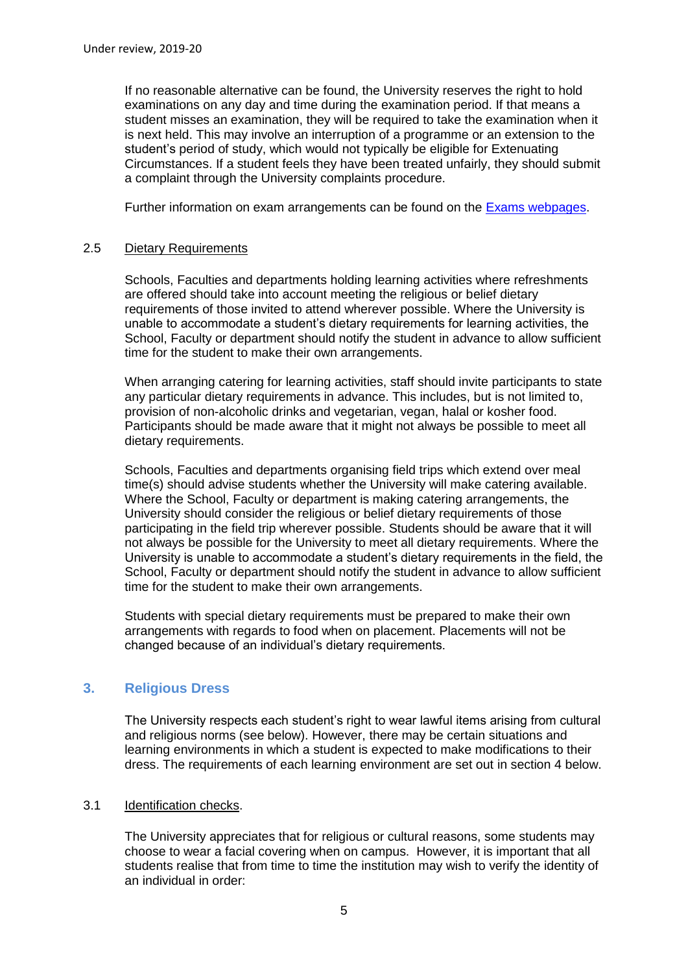If no reasonable alternative can be found, the University reserves the right to hold examinations on any day and time during the examination period. If that means a student misses an examination, they will be required to take the examination when it is next held. This may involve an interruption of a programme or an extension to the student's period of study, which would not typically be eligible for Extenuating Circumstances. If a student feels they have been treated unfairly, they should submit a complaint through the University complaints procedure.

Further information on exam arrangements can be found on the **Exams webpages**.

# <span id="page-4-0"></span>2.5 Dietary Requirements

Schools, Faculties and departments holding learning activities where refreshments are offered should take into account meeting the religious or belief dietary requirements of those invited to attend wherever possible. Where the University is unable to accommodate a student's dietary requirements for learning activities, the School, Faculty or department should notify the student in advance to allow sufficient time for the student to make their own arrangements.

When arranging catering for learning activities, staff should invite participants to state any particular dietary requirements in advance. This includes, but is not limited to, provision of non-alcoholic drinks and vegetarian, vegan, halal or kosher food. Participants should be made aware that it might not always be possible to meet all dietary requirements.

Schools, Faculties and departments organising field trips which extend over meal time(s) should advise students whether the University will make catering available. Where the School, Faculty or department is making catering arrangements, the University should consider the religious or belief dietary requirements of those participating in the field trip wherever possible. Students should be aware that it will not always be possible for the University to meet all dietary requirements. Where the University is unable to accommodate a student's dietary requirements in the field, the School, Faculty or department should notify the student in advance to allow sufficient time for the student to make their own arrangements.

Students with special dietary requirements must be prepared to make their own arrangements with regards to food when on placement. Placements will not be changed because of an individual's dietary requirements.

# <span id="page-4-1"></span>**3. Religious Dress**

The University respects each student's right to wear lawful items arising from cultural and religious norms (see below). However, there may be certain situations and learning environments in which a student is expected to make modifications to their dress. The requirements of each learning environment are set out in section 4 below.

## <span id="page-4-2"></span>3.1 Identification checks.

The University appreciates that for religious or cultural reasons, some students may choose to wear a facial covering when on campus. However, it is important that all students realise that from time to time the institution may wish to verify the identity of an individual in order: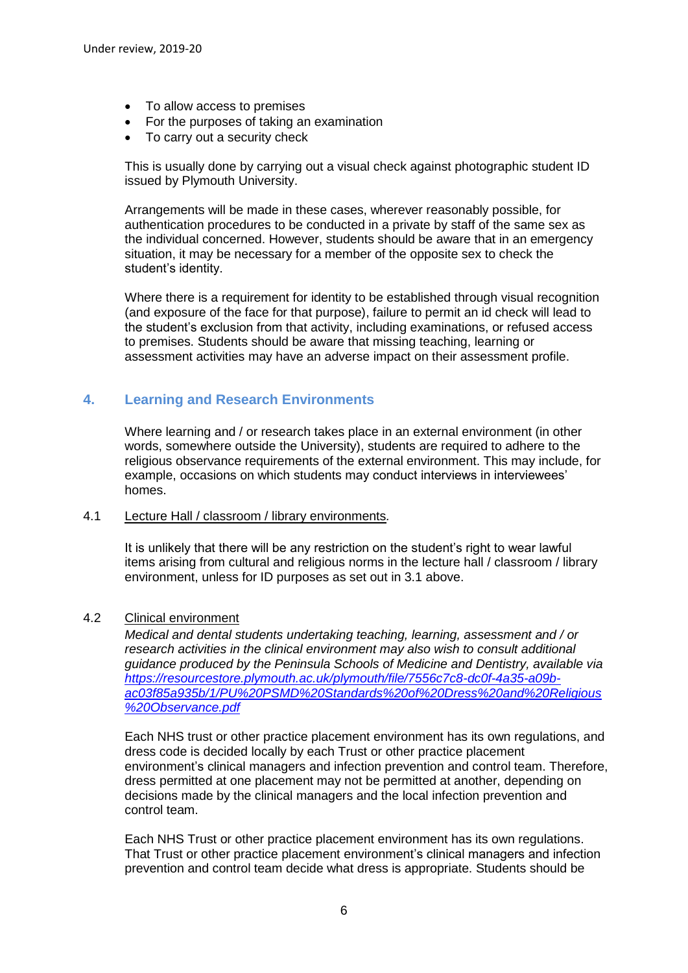- To allow access to premises
- For the purposes of taking an examination
- To carry out a security check

This is usually done by carrying out a visual check against photographic student ID issued by Plymouth University.

Arrangements will be made in these cases, wherever reasonably possible, for authentication procedures to be conducted in a private by staff of the same sex as the individual concerned. However, students should be aware that in an emergency situation, it may be necessary for a member of the opposite sex to check the student's identity.

Where there is a requirement for identity to be established through visual recognition (and exposure of the face for that purpose), failure to permit an id check will lead to the student's exclusion from that activity, including examinations, or refused access to premises. Students should be aware that missing teaching, learning or assessment activities may have an adverse impact on their assessment profile.

# <span id="page-5-0"></span>**4. Learning and Research Environments**

Where learning and / or research takes place in an external environment (in other words, somewhere outside the University), students are required to adhere to the religious observance requirements of the external environment. This may include, for example, occasions on which students may conduct interviews in interviewees' homes.

#### <span id="page-5-1"></span>4.1 Lecture Hall / classroom / library environments*.*

It is unlikely that there will be any restriction on the student's right to wear lawful items arising from cultural and religious norms in the lecture hall / classroom / library environment, unless for ID purposes as set out in 3.1 above.

## <span id="page-5-2"></span>4.2 Clinical environment

*Medical and dental students undertaking teaching, learning, assessment and / or research activities in the clinical environment may also wish to consult additional guidance produced by the Peninsula Schools of Medicine and Dentistry, available via [https://resourcestore.plymouth.ac.uk/plymouth/file/7556c7c8-dc0f-4a35-a09b](https://resourcestore.plymouth.ac.uk/plymouth/file/7556c7c8-dc0f-4a35-a09b-ac03f85a935b/1/PU%20PSMD%20Standards%20of%20Dress%20and%20Religious%20Observance.pdf)[ac03f85a935b/1/PU%20PSMD%20Standards%20of%20Dress%20and%20Religious](https://resourcestore.plymouth.ac.uk/plymouth/file/7556c7c8-dc0f-4a35-a09b-ac03f85a935b/1/PU%20PSMD%20Standards%20of%20Dress%20and%20Religious%20Observance.pdf) [%20Observance.pdf](https://resourcestore.plymouth.ac.uk/plymouth/file/7556c7c8-dc0f-4a35-a09b-ac03f85a935b/1/PU%20PSMD%20Standards%20of%20Dress%20and%20Religious%20Observance.pdf)*

Each NHS trust or other practice placement environment has its own regulations, and dress code is decided locally by each Trust or other practice placement environment's clinical managers and infection prevention and control team. Therefore, dress permitted at one placement may not be permitted at another, depending on decisions made by the clinical managers and the local infection prevention and control team.

Each NHS Trust or other practice placement environment has its own regulations. That Trust or other practice placement environment's clinical managers and infection prevention and control team decide what dress is appropriate. Students should be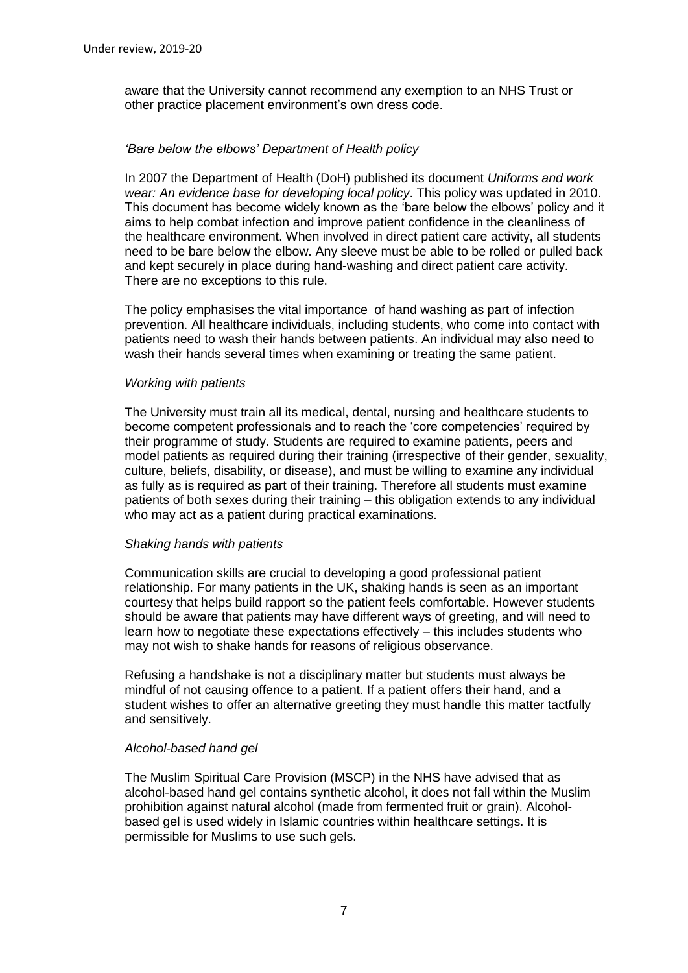aware that the University cannot recommend any exemption to an NHS Trust or other practice placement environment's own dress code.

#### *'Bare below the elbows' Department of Health policy*

In 2007 the Department of Health (DoH) published its document *Uniforms and work wear: An evidence base for developing local policy*. This policy was updated in 2010. This document has become widely known as the 'bare below the elbows' policy and it aims to help combat infection and improve patient confidence in the cleanliness of the healthcare environment. When involved in direct patient care activity, all students need to be bare below the elbow. Any sleeve must be able to be rolled or pulled back and kept securely in place during hand-washing and direct patient care activity. There are no exceptions to this rule.

The policy emphasises the vital importance of hand washing as part of infection prevention. All healthcare individuals, including students, who come into contact with patients need to wash their hands between patients. An individual may also need to wash their hands several times when examining or treating the same patient.

#### *Working with patients*

The University must train all its medical, dental, nursing and healthcare students to become competent professionals and to reach the 'core competencies' required by their programme of study. Students are required to examine patients, peers and model patients as required during their training (irrespective of their gender, sexuality, culture, beliefs, disability, or disease), and must be willing to examine any individual as fully as is required as part of their training. Therefore all students must examine patients of both sexes during their training – this obligation extends to any individual who may act as a patient during practical examinations.

#### *Shaking hands with patients*

Communication skills are crucial to developing a good professional patient relationship. For many patients in the UK, shaking hands is seen as an important courtesy that helps build rapport so the patient feels comfortable. However students should be aware that patients may have different ways of greeting, and will need to learn how to negotiate these expectations effectively – this includes students who may not wish to shake hands for reasons of religious observance.

Refusing a handshake is not a disciplinary matter but students must always be mindful of not causing offence to a patient. If a patient offers their hand, and a student wishes to offer an alternative greeting they must handle this matter tactfully and sensitively.

#### *Alcohol-based hand gel*

The Muslim Spiritual Care Provision (MSCP) in the NHS have advised that as alcohol-based hand gel contains synthetic alcohol, it does not fall within the Muslim prohibition against natural alcohol (made from fermented fruit or grain). Alcoholbased gel is used widely in Islamic countries within healthcare settings. It is permissible for Muslims to use such gels.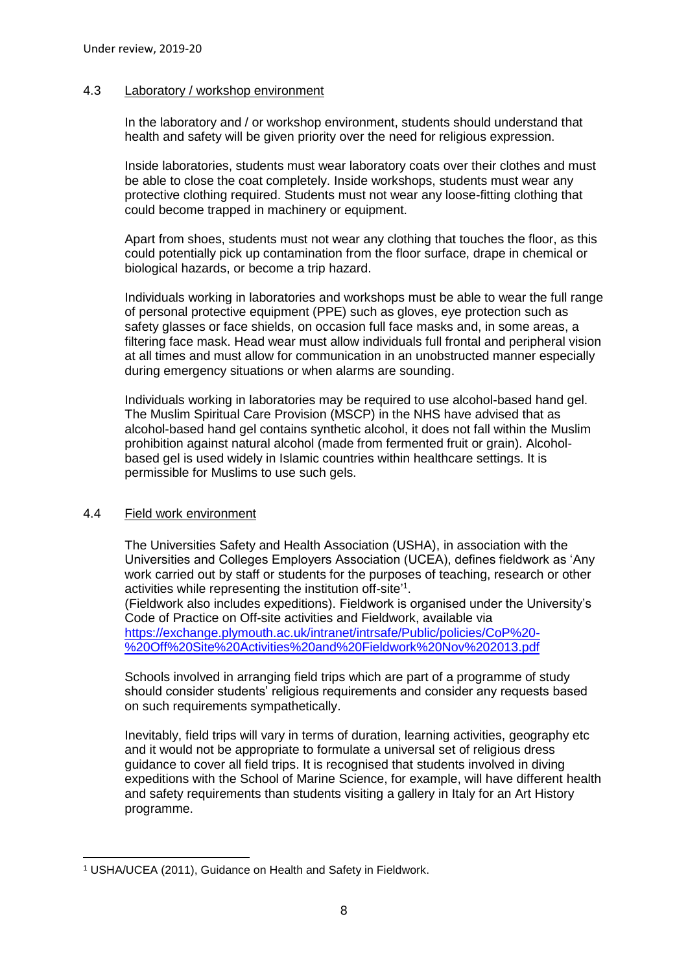### <span id="page-7-0"></span>4.3 Laboratory / workshop environment

In the laboratory and / or workshop environment, students should understand that health and safety will be given priority over the need for religious expression.

Inside laboratories, students must wear laboratory coats over their clothes and must be able to close the coat completely. Inside workshops, students must wear any protective clothing required. Students must not wear any loose-fitting clothing that could become trapped in machinery or equipment.

Apart from shoes, students must not wear any clothing that touches the floor, as this could potentially pick up contamination from the floor surface, drape in chemical or biological hazards, or become a trip hazard.

Individuals working in laboratories and workshops must be able to wear the full range of personal protective equipment (PPE) such as gloves, eye protection such as safety glasses or face shields, on occasion full face masks and, in some areas, a filtering face mask. Head wear must allow individuals full frontal and peripheral vision at all times and must allow for communication in an unobstructed manner especially during emergency situations or when alarms are sounding.

Individuals working in laboratories may be required to use alcohol-based hand gel. The Muslim Spiritual Care Provision (MSCP) in the NHS have advised that as alcohol-based hand gel contains synthetic alcohol, it does not fall within the Muslim prohibition against natural alcohol (made from fermented fruit or grain). Alcoholbased gel is used widely in Islamic countries within healthcare settings. It is permissible for Muslims to use such gels.

## <span id="page-7-1"></span>4.4 Field work environment

The Universities Safety and Health Association (USHA), in association with the Universities and Colleges Employers Association (UCEA), defines fieldwork as 'Any work carried out by staff or students for the purposes of teaching, research or other activities while representing the institution off-site<sup>'1</sup>. (Fieldwork also includes expeditions). Fieldwork is organised under the University's Code of Practice on Off-site activities and Fieldwork, available via [https://exchange.plymouth.ac.uk/intranet/intrsafe/Public/policies/CoP%20-](https://exchange.plymouth.ac.uk/intranet/intrsafe/Public/policies/CoP%20-%20Off%20Site%20Activities%20and%20Fieldwork%20Nov%202013.pdf)

[%20Off%20Site%20Activities%20and%20Fieldwork%20Nov%202013.pdf](https://exchange.plymouth.ac.uk/intranet/intrsafe/Public/policies/CoP%20-%20Off%20Site%20Activities%20and%20Fieldwork%20Nov%202013.pdf)

Schools involved in arranging field trips which are part of a programme of study should consider students' religious requirements and consider any requests based on such requirements sympathetically.

Inevitably, field trips will vary in terms of duration, learning activities, geography etc and it would not be appropriate to formulate a universal set of religious dress guidance to cover all field trips. It is recognised that students involved in diving expeditions with the School of Marine Science, for example, will have different health and safety requirements than students visiting a gallery in Italy for an Art History programme.

<sup>-</sup><sup>1</sup> USHA/UCEA (2011), Guidance on Health and Safety in Fieldwork.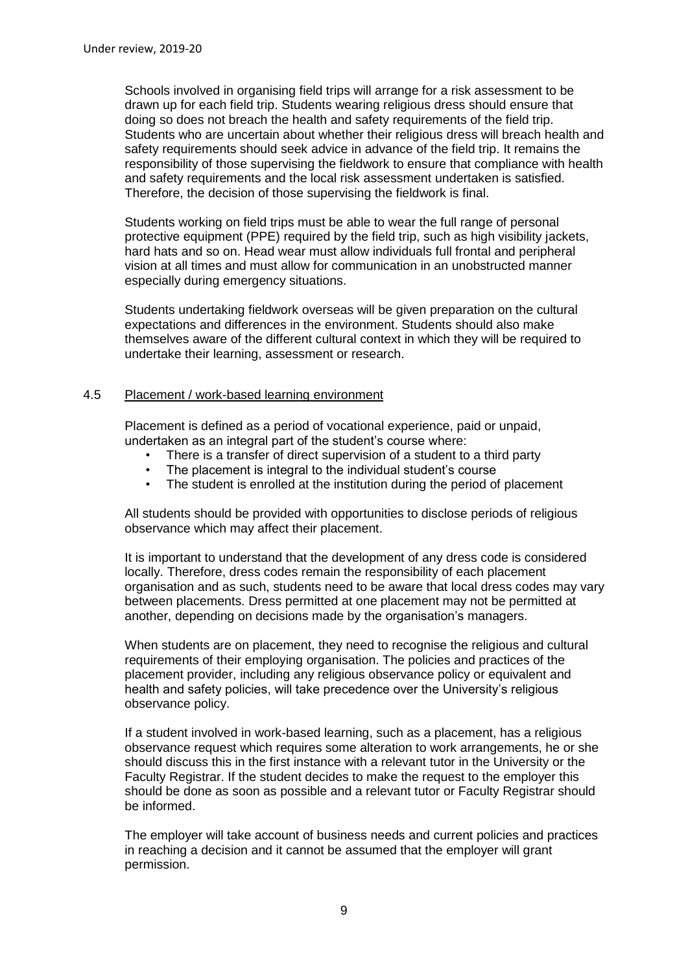Schools involved in organising field trips will arrange for a risk assessment to be drawn up for each field trip. Students wearing religious dress should ensure that doing so does not breach the health and safety requirements of the field trip. Students who are uncertain about whether their religious dress will breach health and safety requirements should seek advice in advance of the field trip. It remains the responsibility of those supervising the fieldwork to ensure that compliance with health and safety requirements and the local risk assessment undertaken is satisfied. Therefore, the decision of those supervising the fieldwork is final.

Students working on field trips must be able to wear the full range of personal protective equipment (PPE) required by the field trip, such as high visibility jackets, hard hats and so on. Head wear must allow individuals full frontal and peripheral vision at all times and must allow for communication in an unobstructed manner especially during emergency situations.

Students undertaking fieldwork overseas will be given preparation on the cultural expectations and differences in the environment. Students should also make themselves aware of the different cultural context in which they will be required to undertake their learning, assessment or research.

## <span id="page-8-0"></span>4.5 Placement / work-based learning environment

Placement is defined as a period of vocational experience, paid or unpaid, undertaken as an integral part of the student's course where:

- There is a transfer of direct supervision of a student to a third party
- The placement is integral to the individual student's course
- The student is enrolled at the institution during the period of placement

All students should be provided with opportunities to disclose periods of religious observance which may affect their placement.

It is important to understand that the development of any dress code is considered locally. Therefore, dress codes remain the responsibility of each placement organisation and as such, students need to be aware that local dress codes may vary between placements. Dress permitted at one placement may not be permitted at another, depending on decisions made by the organisation's managers.

When students are on placement, they need to recognise the religious and cultural requirements of their employing organisation. The policies and practices of the placement provider, including any religious observance policy or equivalent and health and safety policies, will take precedence over the University's religious observance policy.

If a student involved in work-based learning, such as a placement, has a religious observance request which requires some alteration to work arrangements, he or she should discuss this in the first instance with a relevant tutor in the University or the Faculty Registrar. If the student decides to make the request to the employer this should be done as soon as possible and a relevant tutor or Faculty Registrar should be informed.

The employer will take account of business needs and current policies and practices in reaching a decision and it cannot be assumed that the employer will grant permission.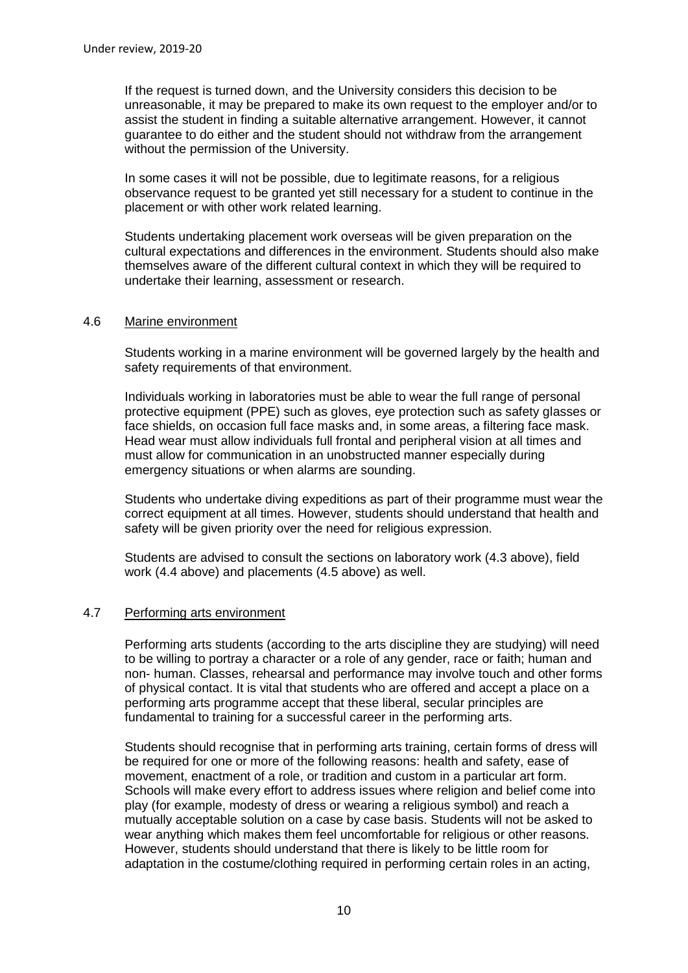If the request is turned down, and the University considers this decision to be unreasonable, it may be prepared to make its own request to the employer and/or to assist the student in finding a suitable alternative arrangement. However, it cannot guarantee to do either and the student should not withdraw from the arrangement without the permission of the University.

In some cases it will not be possible, due to legitimate reasons, for a religious observance request to be granted yet still necessary for a student to continue in the placement or with other work related learning.

Students undertaking placement work overseas will be given preparation on the cultural expectations and differences in the environment. Students should also make themselves aware of the different cultural context in which they will be required to undertake their learning, assessment or research.

## <span id="page-9-0"></span>4.6 Marine environment

Students working in a marine environment will be governed largely by the health and safety requirements of that environment.

Individuals working in laboratories must be able to wear the full range of personal protective equipment (PPE) such as gloves, eye protection such as safety glasses or face shields, on occasion full face masks and, in some areas, a filtering face mask. Head wear must allow individuals full frontal and peripheral vision at all times and must allow for communication in an unobstructed manner especially during emergency situations or when alarms are sounding.

Students who undertake diving expeditions as part of their programme must wear the correct equipment at all times. However, students should understand that health and safety will be given priority over the need for religious expression.

Students are advised to consult the sections on laboratory work (4.3 above), field work (4.4 above) and placements (4.5 above) as well.

## <span id="page-9-1"></span>4.7 Performing arts environment

Performing arts students (according to the arts discipline they are studying) will need to be willing to portray a character or a role of any gender, race or faith; human and non- human. Classes, rehearsal and performance may involve touch and other forms of physical contact. It is vital that students who are offered and accept a place on a performing arts programme accept that these liberal, secular principles are fundamental to training for a successful career in the performing arts.

Students should recognise that in performing arts training, certain forms of dress will be required for one or more of the following reasons: health and safety, ease of movement, enactment of a role, or tradition and custom in a particular art form. Schools will make every effort to address issues where religion and belief come into play (for example, modesty of dress or wearing a religious symbol) and reach a mutually acceptable solution on a case by case basis. Students will not be asked to wear anything which makes them feel uncomfortable for religious or other reasons. However, students should understand that there is likely to be little room for adaptation in the costume/clothing required in performing certain roles in an acting,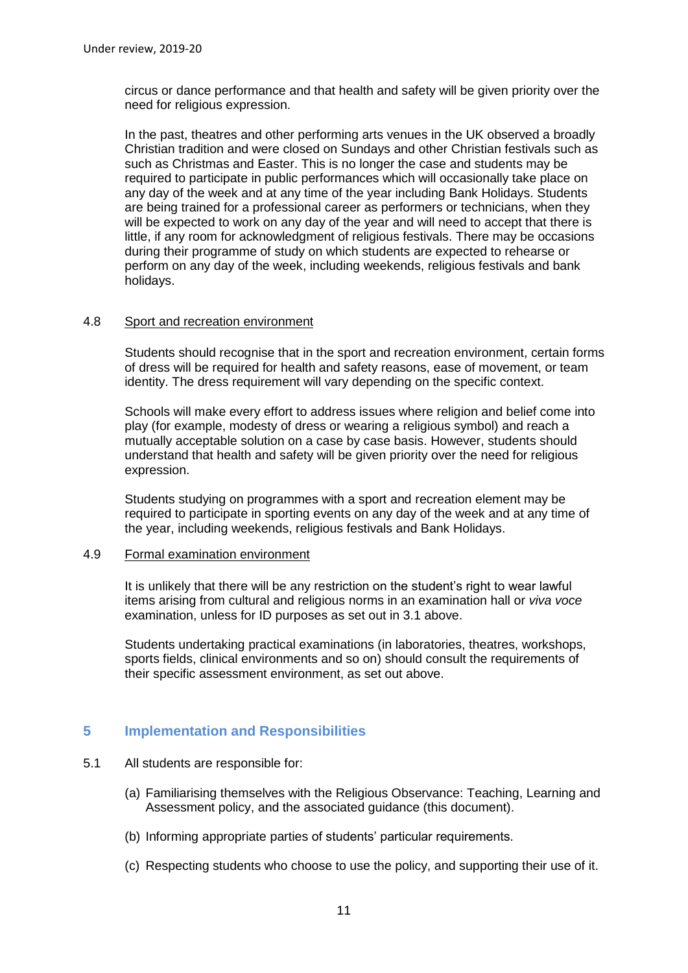circus or dance performance and that health and safety will be given priority over the need for religious expression.

In the past, theatres and other performing arts venues in the UK observed a broadly Christian tradition and were closed on Sundays and other Christian festivals such as such as Christmas and Easter. This is no longer the case and students may be required to participate in public performances which will occasionally take place on any day of the week and at any time of the year including Bank Holidays. Students are being trained for a professional career as performers or technicians, when they will be expected to work on any day of the year and will need to accept that there is little, if any room for acknowledgment of religious festivals. There may be occasions during their programme of study on which students are expected to rehearse or perform on any day of the week, including weekends, religious festivals and bank holidays.

## <span id="page-10-0"></span>4.8 Sport and recreation environment

Students should recognise that in the sport and recreation environment, certain forms of dress will be required for health and safety reasons, ease of movement, or team identity. The dress requirement will vary depending on the specific context.

Schools will make every effort to address issues where religion and belief come into play (for example, modesty of dress or wearing a religious symbol) and reach a mutually acceptable solution on a case by case basis. However, students should understand that health and safety will be given priority over the need for religious expression.

Students studying on programmes with a sport and recreation element may be required to participate in sporting events on any day of the week and at any time of the year, including weekends, religious festivals and Bank Holidays.

### <span id="page-10-1"></span>4.9 Formal examination environment

It is unlikely that there will be any restriction on the student's right to wear lawful items arising from cultural and religious norms in an examination hall or *viva voce* examination, unless for ID purposes as set out in 3.1 above.

Students undertaking practical examinations (in laboratories, theatres, workshops, sports fields, clinical environments and so on) should consult the requirements of their specific assessment environment, as set out above.

# <span id="page-10-2"></span>**5 Implementation and Responsibilities**

## 5.1 All students are responsible for:

- (a) Familiarising themselves with the Religious Observance: Teaching, Learning and Assessment policy, and the associated guidance (this document).
- (b) Informing appropriate parties of students' particular requirements.
- (c) Respecting students who choose to use the policy, and supporting their use of it.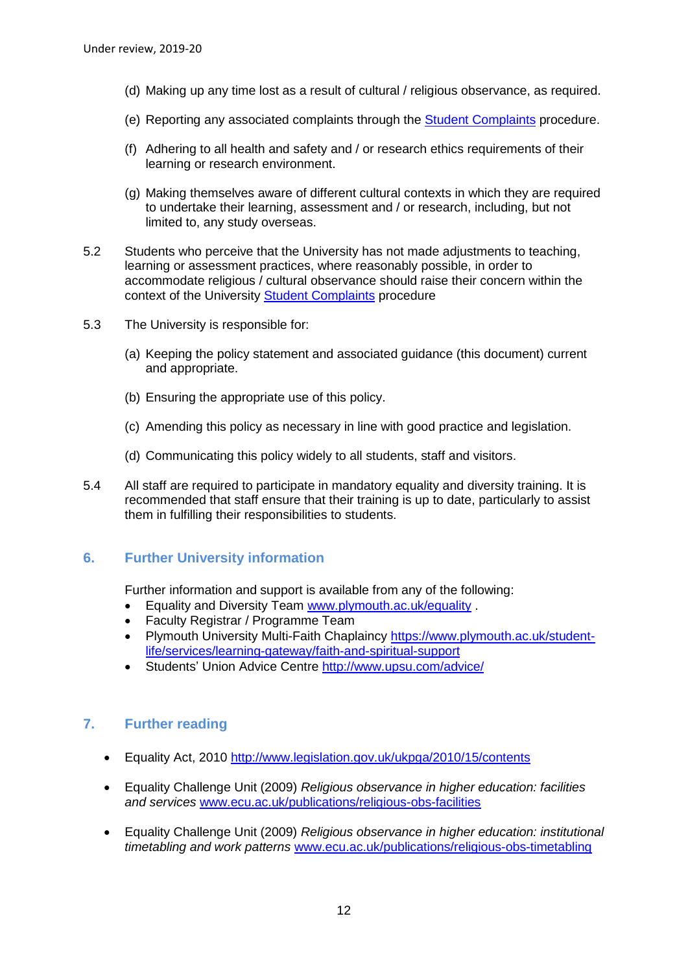- (d) Making up any time lost as a result of cultural / religious observance, as required.
- (e) Reporting any associated complaints through the [Student Complaints](https://www.plymouth.ac.uk/student-life/your-studies/essential-information/complaints-appeals-and-conduct) procedure.
- (f) Adhering to all health and safety and / or research ethics requirements of their learning or research environment.
- (g) Making themselves aware of different cultural contexts in which they are required to undertake their learning, assessment and / or research, including, but not limited to, any study overseas.
- 5.2 Students who perceive that the University has not made adjustments to teaching, learning or assessment practices, where reasonably possible, in order to accommodate religious / cultural observance should raise their concern within the context of the University **Student Complaints** procedure
- 5.3 The University is responsible for:
	- (a) Keeping the policy statement and associated guidance (this document) current and appropriate.
	- (b) Ensuring the appropriate use of this policy.
	- (c) Amending this policy as necessary in line with good practice and legislation.
	- (d) Communicating this policy widely to all students, staff and visitors.
- 5.4 All staff are required to participate in mandatory equality and diversity training. It is recommended that staff ensure that their training is up to date, particularly to assist them in fulfilling their responsibilities to students.

# <span id="page-11-0"></span>**6. Further University information**

Further information and support is available from any of the following:

- Equality and Diversity Team [www.plymouth.ac.uk/equality](http://www.plymouth.ac.uk/equality) .
- Faculty Registrar / Programme Team
- Plymouth University Multi-Faith Chaplaincy [https://www.plymouth.ac.uk/student](https://www.plymouth.ac.uk/student-life/services/learning-gateway/faith-and-spiritual-support)[life/services/learning-gateway/faith-and-spiritual-support](https://www.plymouth.ac.uk/student-life/services/learning-gateway/faith-and-spiritual-support)
- Students' Union Advice Centre <http://www.upsu.com/advice/>

# <span id="page-11-1"></span>**7. Further reading**

- Equality Act, 2010<http://www.legislation.gov.uk/ukpga/2010/15/contents>
- Equality Challenge Unit (2009) *Religious observance in higher education: facilities and services* [www.ecu.ac.uk/publications/religious-obs-facilities](http://www.ecu.ac.uk/publications/religious-obs-facilities)
- Equality Challenge Unit (2009) *Religious observance in higher education: institutional timetabling and work patterns* [www.ecu.ac.uk/publications/religious-obs-timetabling](http://www.ecu.ac.uk/publications/religious-obs-timetabling)